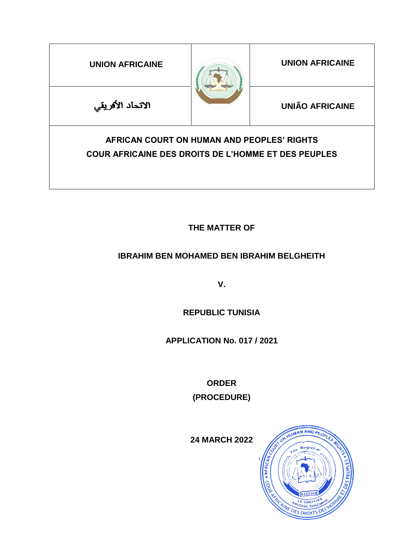| <b>UNION AFRICAINE</b>                                                                                   |  | <b>UNION AFRICAINE</b> |
|----------------------------------------------------------------------------------------------------------|--|------------------------|
| الاتحاد الأفريقي                                                                                         |  | <b>UNIÃO AFRICAINE</b> |
| AFRICAN COURT ON HUMAN AND PEOPLES' RIGHTS<br><b>COUR AFRICAINE DES DROITS DE L'HOMME ET DES PEUPLES</b> |  |                        |

**THE MATTER OF**

# **IBRAHIM BEN MOHAMED BEN IBRAHIM BELGHEITH**

**V.**

**REPUBLIC TUNISIA**

**APPLICATION No. 017 / 2021**

**ORDER (PROCEDURE)**

**24 MARCH 2022**

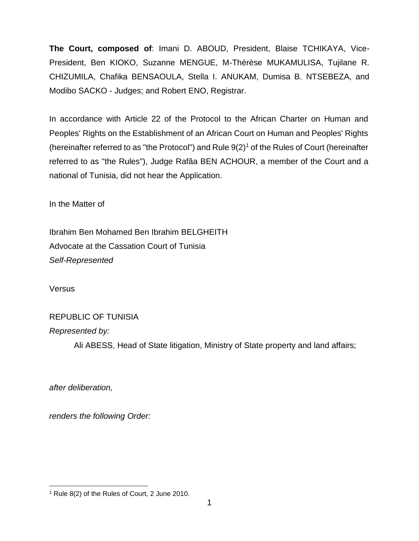**The Court, composed of**: Imani D. ABOUD, President, Blaise TCHIKAYA, Vice-President, Ben KIOKO, Suzanne MENGUE, M-Thérèse MUKAMULISA, Tujilane R. CHIZUMILA, Chafika BENSAOULA, Stella I. ANUKAM, Dumisa B. NTSEBEZA, and Modibo SACKO - Judges; and Robert ENO, Registrar.

In accordance with Article 22 of the Protocol to the African Charter on Human and Peoples' Rights on the Establishment of an African Court on Human and Peoples' Rights (hereinafter referred to as "the Protocol") and Rule  $9(2)^1$  of the Rules of Court (hereinafter referred to as "the Rules"), Judge Rafâa BEN ACHOUR, a member of the Court and a national of Tunisia, did not hear the Application.

In the Matter of

Ibrahim Ben Mohamed Ben Ibrahim BELGHEITH Advocate at the Cassation Court of Tunisia *Self-Represented*

Versus

# REPUBLIC OF TUNISIA

*Represented by:*

Ali ABESS, Head of State litigation, Ministry of State property and land affairs;

*after deliberation,*

 $\overline{\phantom{a}}$ 

*renders the following Order:*

<sup>1</sup> Rule 8(2) of the Rules of Court, 2 June 2010.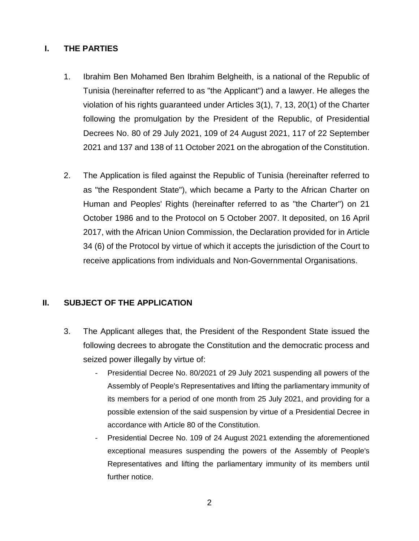## **I. THE PARTIES**

- 1. Ibrahim Ben Mohamed Ben Ibrahim Belgheith, is a national of the Republic of Tunisia (hereinafter referred to as "the Applicant") and a lawyer. He alleges the violation of his rights guaranteed under Articles 3(1), 7, 13, 20(1) of the Charter following the promulgation by the President of the Republic, of Presidential Decrees No. 80 of 29 July 2021, 109 of 24 August 2021, 117 of 22 September 2021 and 137 and 138 of 11 October 2021 on the abrogation of the Constitution.
- 2. The Application is filed against the Republic of Tunisia (hereinafter referred to as "the Respondent State"), which became a Party to the African Charter on Human and Peoples' Rights (hereinafter referred to as "the Charter") on 21 October 1986 and to the Protocol on 5 October 2007. It deposited, on 16 April 2017, with the African Union Commission, the Declaration provided for in Article 34 (6) of the Protocol by virtue of which it accepts the jurisdiction of the Court to receive applications from individuals and Non-Governmental Organisations.

### **II. SUBJECT OF THE APPLICATION**

- 3. The Applicant alleges that, the President of the Respondent State issued the following decrees to abrogate the Constitution and the democratic process and seized power illegally by virtue of:
	- Presidential Decree No. 80/2021 of 29 July 2021 suspending all powers of the Assembly of People's Representatives and lifting the parliamentary immunity of its members for a period of one month from 25 July 2021, and providing for a possible extension of the said suspension by virtue of a Presidential Decree in accordance with Article 80 of the Constitution.
	- Presidential Decree No. 109 of 24 August 2021 extending the aforementioned exceptional measures suspending the powers of the Assembly of People's Representatives and lifting the parliamentary immunity of its members until further notice.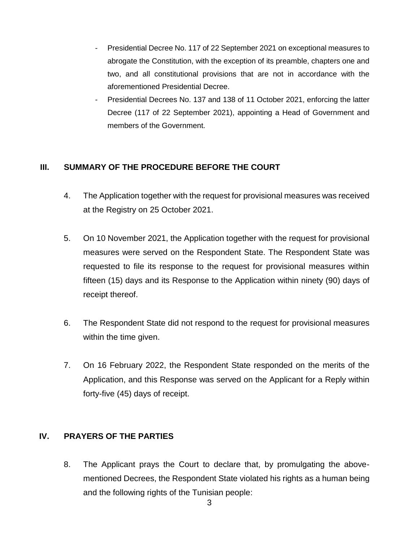- Presidential Decree No. 117 of 22 September 2021 on exceptional measures to abrogate the Constitution, with the exception of its preamble, chapters one and two, and all constitutional provisions that are not in accordance with the aforementioned Presidential Decree.
- Presidential Decrees No. 137 and 138 of 11 October 2021, enforcing the latter Decree (117 of 22 September 2021), appointing a Head of Government and members of the Government.

# **III. SUMMARY OF THE PROCEDURE BEFORE THE COURT**

- 4. The Application together with the request for provisional measures was received at the Registry on 25 October 2021.
- 5. On 10 November 2021, the Application together with the request for provisional measures were served on the Respondent State. The Respondent State was requested to file its response to the request for provisional measures within fifteen (15) days and its Response to the Application within ninety (90) days of receipt thereof.
- 6. The Respondent State did not respond to the request for provisional measures within the time given.
- 7. On 16 February 2022, the Respondent State responded on the merits of the Application, and this Response was served on the Applicant for a Reply within forty-five (45) days of receipt.

# **IV. PRAYERS OF THE PARTIES**

8. The Applicant prays the Court to declare that, by promulgating the abovementioned Decrees, the Respondent State violated his rights as a human being and the following rights of the Tunisian people: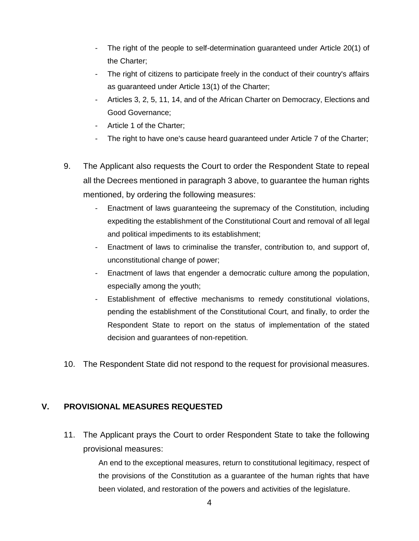- The right of the people to self-determination guaranteed under Article 20(1) of the Charter;
- The right of citizens to participate freely in the conduct of their country's affairs as guaranteed under Article 13(1) of the Charter;
- Articles 3, 2, 5, 11, 14, and of the African Charter on Democracy, Elections and Good Governance;
- Article 1 of the Charter;
- The right to have one's cause heard guaranteed under Article 7 of the Charter;
- 9. The Applicant also requests the Court to order the Respondent State to repeal all the Decrees mentioned in paragraph 3 above, to guarantee the human rights mentioned, by ordering the following measures:
	- Enactment of laws guaranteeing the supremacy of the Constitution, including expediting the establishment of the Constitutional Court and removal of all legal and political impediments to its establishment;
	- Enactment of laws to criminalise the transfer, contribution to, and support of, unconstitutional change of power;
	- Enactment of laws that engender a democratic culture among the population, especially among the youth;
	- Establishment of effective mechanisms to remedy constitutional violations, pending the establishment of the Constitutional Court, and finally, to order the Respondent State to report on the status of implementation of the stated decision and guarantees of non-repetition.
- 10. The Respondent State did not respond to the request for provisional measures.

#### **V. PROVISIONAL MEASURES REQUESTED**

11. The Applicant prays the Court to order Respondent State to take the following provisional measures:

> An end to the exceptional measures, return to constitutional legitimacy, respect of the provisions of the Constitution as a guarantee of the human rights that have been violated, and restoration of the powers and activities of the legislature.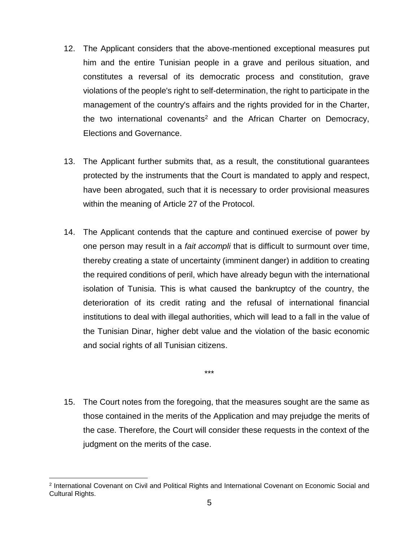- 12. The Applicant considers that the above-mentioned exceptional measures put him and the entire Tunisian people in a grave and perilous situation, and constitutes a reversal of its democratic process and constitution, grave violations of the people's right to self-determination, the right to participate in the management of the country's affairs and the rights provided for in the Charter, the two international covenants<sup>2</sup> and the African Charter on Democracy, Elections and Governance.
- 13. The Applicant further submits that, as a result, the constitutional guarantees protected by the instruments that the Court is mandated to apply and respect, have been abrogated, such that it is necessary to order provisional measures within the meaning of Article 27 of the Protocol.
- 14. The Applicant contends that the capture and continued exercise of power by one person may result in a *fait accompli* that is difficult to surmount over time, thereby creating a state of uncertainty (imminent danger) in addition to creating the required conditions of peril, which have already begun with the international isolation of Tunisia. This is what caused the bankruptcy of the country, the deterioration of its credit rating and the refusal of international financial institutions to deal with illegal authorities, which will lead to a fall in the value of the Tunisian Dinar, higher debt value and the violation of the basic economic and social rights of all Tunisian citizens.

\*\*\*

15. The Court notes from the foregoing, that the measures sought are the same as those contained in the merits of the Application and may prejudge the merits of the case. Therefore, the Court will consider these requests in the context of the judgment on the merits of the case.

 $\overline{\phantom{a}}$ 

<sup>2</sup> International Covenant on Civil and Political Rights and International Covenant on Economic Social and Cultural Rights.